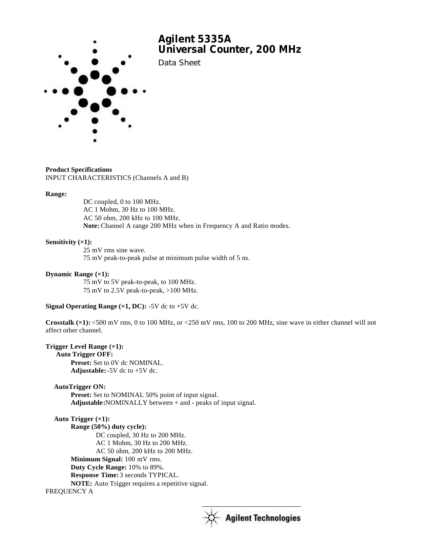

## **Product Specifications**

INPUT CHARACTERISTICS (Channels A and B)

#### **Range:**

DC coupled, 0 to 100 MHz. AC 1 Mohm, 30 Hz to 100 MHz. AC 50 ohm, 200 kHz to 100 MHz. **Note:** Channel A range 200 MHz when in Frequency A and Ratio modes.

## **Sensitivity (×1):**

25 mV rms sine wave. 75 mV peak-to-peak pulse at minimum pulse width of 5 ns.

## **Dynamic Range (×1):**

75 mV to 5V peak-to-peak, to 100 MHz. 75 mV to 2.5V peak-to-peak, >100 MHz.

### **Signal Operating Range**  $(x1, DC)$ **:** -5V dc to +5V dc.

**Crosstalk (×1):** <500 mV rms, 0 to 100 MHz, or <250 mV rms, 100 to 200 MHz, sine wave in either channel will not affect other channel.

## **Trigger Level Range (×1):**

 **Auto Trigger OFF: Preset:** Set to 0V dc NOMINAL. Adjustable:  $-5V$  dc to  $+5V$  dc.

## **AutoTrigger ON:**

**Preset:** Set to NOMINAL 50% point of input signal. **Adjustable:**NOMINALLY between + and - peaks of input signal.

# **Auto Trigger (×1): Range (50%) duty cycle):** DC coupled, 30 Hz to 200 MHz.

AC 1 Mohm, 30 Hz to 200 MHz. AC 50 ohm, 200 kHz to 200 MHz. **Minimum Signal:** 100 mV rms. **Duty Cycle Range:** 10% to 89%. **Response Time:** 3 seconds TYPICAL. **NOTE:** Auto Trigger requires a repetitive signal. FREQUENCY A

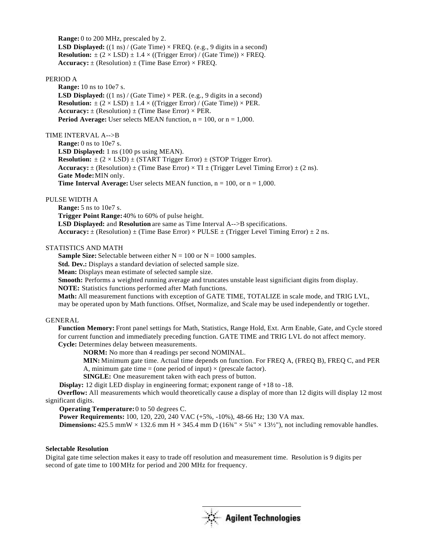**Range:** 0 to 200 MHz, prescaled by 2. **LSD Displayed:** ((1 ns) / (Gate Time)  $\times$  FREQ. (e.g., 9 digits in a second) **Resolution:**  $\pm (2 \times LSD) \pm 1.4 \times ( (Trigger Error) / (Gate Time)) \times FREQ.$ **Accuracy:**  $\pm$  (Resolution)  $\pm$  (Time Base Error)  $\times$  FREQ.

### PERIOD A

**Range:** 10 ns to 10e7 s. **LSD Displayed:** ((1 ns) / (Gate Time)  $\times$  PER. (e.g., 9 digits in a second) **Resolution:**  $\pm (2 \times LSD) \pm 1.4 \times ((Trigger Error) / (Gate Time)) \times PER$ . **Accuracy:**  $\pm$  (Resolution)  $\pm$  (Time Base Error)  $\times$  PER. **Period Average:** User selects MEAN function,  $n = 100$ , or  $n = 1,000$ .

## TIME INTERVAL A-->B

**Range:** 0 ns to 10e7 s. **LSD Displayed:** 1 ns (100 ps using MEAN). **Resolution:**  $\pm (2 \times LSD) \pm (STAT Trigger Error) \pm (STOP Trigger Error)$ . **Accuracy:**  $\pm$  (Resolution)  $\pm$  (Time Base Error)  $\times$  TI  $\pm$  (Trigger Level Timing Error)  $\pm$  (2 ns). **Gate Mode:** MIN only. **Time Interval Average:** User selects MEAN function,  $n = 100$ , or  $n = 1,000$ .

## PULSE WIDTH A

**Range:** 5 ns to 10e7 s.

**Trigger Point Range:** 40% to 60% of pulse height.

**LSD Displayed:** and **Resolution** are same as Time Interval A-->B specifications.

**Accuracy:**  $\pm$  (Resolution)  $\pm$  (Time Base Error)  $\times$  PULSE  $\pm$  (Trigger Level Timing Error)  $\pm$  2 ns.

## STATISTICS AND MATH

**Sample Size:** Selectable between either  $N = 100$  or  $N = 1000$  samples.

**Std. Dev.:** Displays a standard deviation of selected sample size.

**Mean:** Displays mean estimate of selected sample size.

**Smooth:** Performs a weighted running average and truncates unstable least significiant digits from display.

**NOTE:** Statistics functions performed after Math functions.

**Math:** All measurement functions with exception of GATE TIME, TOTALIZE in scale mode, and TRIG LVL, may be operated upon by Math functions. Offset, Normalize, and Scale may be used independently or together.

#### GENERAL

**Function Memory:** Front panel settings for Math, Statistics, Range Hold, Ext. Arm Enable, Gate, and Cycle stored for current function and immediately preceding function. GATE TIME and TRIG LVL do not affect memory. **Cycle:** Determines delay between measurements.

**NORM:** No more than 4 readings per second NOMINAL.

**MIN:** Minimum gate time. Actual time depends on function. For FREQ A, (FREQ B), FREQ C, and PER A, minimum gate time = (one period of input)  $\times$  (prescale factor).

**SINGLE:** One measurement taken with each press of button.

 **Display:** 12 digit LED display in engineering format; exponent range of +18 to -18.

 **Overflow:** All measurements which would theoretically cause a display of more than 12 digits will display 12 most significant digits.

 **Operating Temperature:** 0 to 50 degrees C.

 **Power Requirements:** 100, 120, 220, 240 VAC (+5%, -10%), 48-66 Hz; 130 VA max.

**Dimensions:** 425.5 mmW  $\times$  132.6 mm H  $\times$  345.4 mm D (16<sup>3</sup>/4"  $\times$  5<sup>1</sup>/4"  $\times$  13<sup>1</sup>/<sub>2</sub>"), not including removable handles.

## **Selectable Resolution**

Digital gate time selection makes it easy to trade off resolution and measurement time. Resolution is 9 digits per second of gate time to 100 MHz for period and 200 MHz for frequency.

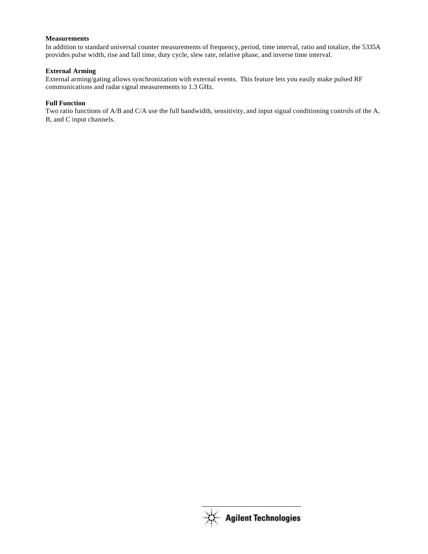# **Measurements**

In addition to standard universal counter measurements of frequency, period, time interval, ratio and totalize, the 5335A provides pulse width, rise and fall time, duty cycle, slew rate, relative phase, and inverse time interval.

# **External Arming**

External arming/gating allows synchronization with external events. This feature lets you easily make pulsed RF communications and radarsignal measurements to 1.3 GHz.

# **Full Function**

Two ratio functions of A/B and C/A use the full bandwidth, sensitivity, and input signal conditioning controls of the A, B, and C input channels.